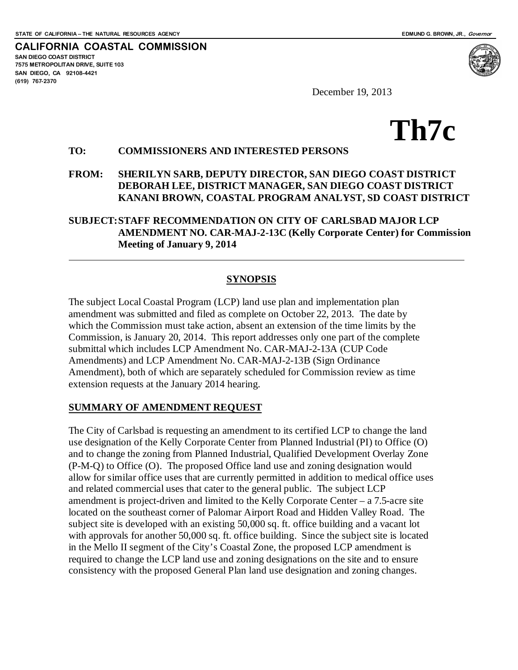**CALIFORNIA COASTAL COMMISSION SAN DIEGO COAST DISTRICT 7575 METROPOLITAN DRIVE, SUITE 103 SAN DIEGO, CA 92108-4421 (619) 767-2370**



December 19, 2013

# **Th7c**

#### **TO: COMMISSIONERS AND INTERESTED PERSONS**

#### **FROM: SHERILYN SARB, DEPUTY DIRECTOR, SAN DIEGO COAST DISTRICT DEBORAH LEE, DISTRICT MANAGER, SAN DIEGO COAST DISTRICT KANANI BROWN, COASTAL PROGRAM ANALYST, SD COAST DISTRICT**

#### **SUBJECT:STAFF RECOMMENDATION ON CITY OF CARLSBAD MAJOR LCP AMENDMENT NO. CAR-MAJ-2-13C (Kelly Corporate Center) for Commission Meeting of January 9, 2014**

#### **SYNOPSIS**

The subject Local Coastal Program (LCP) land use plan and implementation plan amendment was submitted and filed as complete on October 22, 2013. The date by which the Commission must take action, absent an extension of the time limits by the Commission, is January 20, 2014. This report addresses only one part of the complete submittal which includes LCP Amendment No. CAR-MAJ-2-13A (CUP Code Amendments) and LCP Amendment No. CAR-MAJ-2-13B (Sign Ordinance Amendment), both of which are separately scheduled for Commission review as time extension requests at the January 2014 hearing.

#### **SUMMARY OF AMENDMENT REQUEST**

The City of Carlsbad is requesting an amendment to its certified LCP to change the land use designation of the Kelly Corporate Center from Planned Industrial (PI) to Office (O) and to change the zoning from Planned Industrial, Qualified Development Overlay Zone (P-M-Q) to Office (O). The proposed Office land use and zoning designation would allow for similar office uses that are currently permitted in addition to medical office uses and related commercial uses that cater to the general public. The subject LCP amendment is project-driven and limited to the Kelly Corporate Center – a 7.5-acre site located on the southeast corner of Palomar Airport Road and Hidden Valley Road. The subject site is developed with an existing 50,000 sq. ft. office building and a vacant lot with approvals for another 50,000 sq. ft. office building. Since the subject site is located in the Mello II segment of the City's Coastal Zone, the proposed LCP amendment is required to change the LCP land use and zoning designations on the site and to ensure consistency with the proposed General Plan land use designation and zoning changes.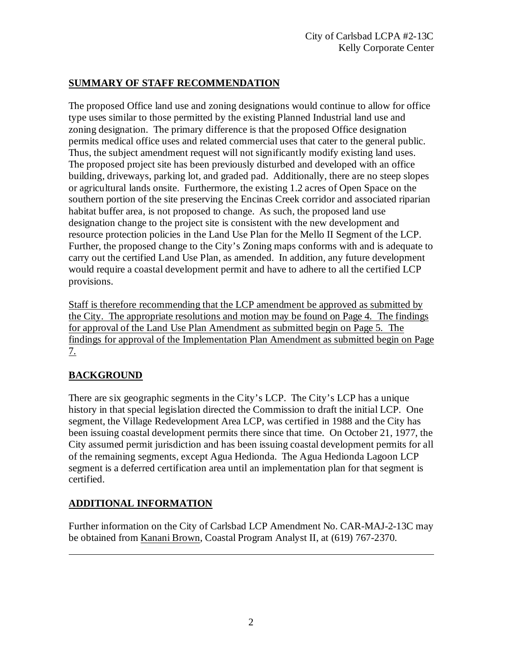#### **SUMMARY OF STAFF RECOMMENDATION**

The proposed Office land use and zoning designations would continue to allow for office type uses similar to those permitted by the existing Planned Industrial land use and zoning designation. The primary difference is that the proposed Office designation permits medical office uses and related commercial uses that cater to the general public. Thus, the subject amendment request will not significantly modify existing land uses. The proposed project site has been previously disturbed and developed with an office building, driveways, parking lot, and graded pad. Additionally, there are no steep slopes or agricultural lands onsite. Furthermore, the existing 1.2 acres of Open Space on the southern portion of the site preserving the Encinas Creek corridor and associated riparian habitat buffer area, is not proposed to change. As such, the proposed land use designation change to the project site is consistent with the new development and resource protection policies in the Land Use Plan for the Mello II Segment of the LCP. Further, the proposed change to the City's Zoning maps conforms with and is adequate to carry out the certified Land Use Plan, as amended. In addition, any future development would require a coastal development permit and have to adhere to all the certified LCP provisions.

Staff is therefore recommending that the LCP amendment be approved as submitted by the City. The appropriate resolutions and motion may be found on Page 4. The findings for approval of the Land Use Plan Amendment as submitted begin on Page 5. The findings for approval of the Implementation Plan Amendment as submitted begin on Page 7.

## **BACKGROUND**

There are six geographic segments in the City's LCP. The City's LCP has a unique history in that special legislation directed the Commission to draft the initial LCP. One segment, the Village Redevelopment Area LCP, was certified in 1988 and the City has been issuing coastal development permits there since that time. On October 21, 1977, the City assumed permit jurisdiction and has been issuing coastal development permits for all of the remaining segments, except Agua Hedionda. The Agua Hedionda Lagoon LCP segment is a deferred certification area until an implementation plan for that segment is certified.

## **ADDITIONAL INFORMATION**

Further information on the City of Carlsbad LCP Amendment No. CAR-MAJ-2-13C may be obtained from Kanani Brown, Coastal Program Analyst II, at (619) 767-2370.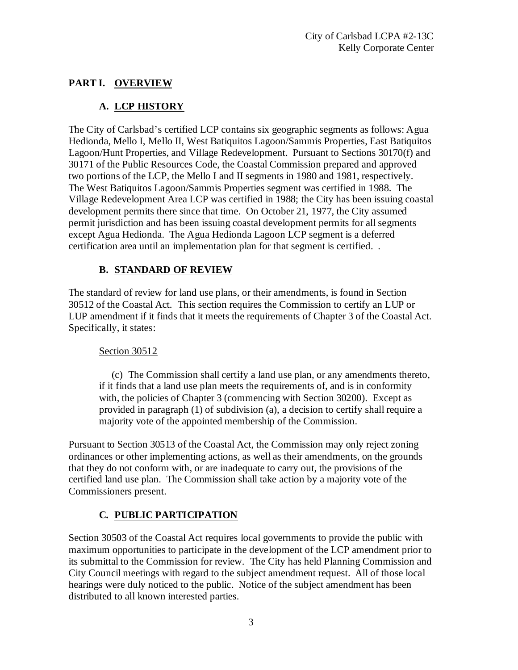## **PART I. OVERVIEW**

## **A. LCP HISTORY**

The City of Carlsbad's certified LCP contains six geographic segments as follows: Agua Hedionda, Mello I, Mello II, West Batiquitos Lagoon/Sammis Properties, East Batiquitos Lagoon/Hunt Properties, and Village Redevelopment. Pursuant to Sections 30170(f) and 30171 of the Public Resources Code, the Coastal Commission prepared and approved two portions of the LCP, the Mello I and II segments in 1980 and 1981, respectively. The West Batiquitos Lagoon/Sammis Properties segment was certified in 1988. The Village Redevelopment Area LCP was certified in 1988; the City has been issuing coastal development permits there since that time. On October 21, 1977, the City assumed permit jurisdiction and has been issuing coastal development permits for all segments except Agua Hedionda. The Agua Hedionda Lagoon LCP segment is a deferred certification area until an implementation plan for that segment is certified. .

## **B. STANDARD OF REVIEW**

The standard of review for land use plans, or their amendments, is found in Section 30512 of the Coastal Act. This section requires the Commission to certify an LUP or LUP amendment if it finds that it meets the requirements of Chapter 3 of the Coastal Act. Specifically, it states:

#### Section 30512

 (c) The Commission shall certify a land use plan, or any amendments thereto, if it finds that a land use plan meets the requirements of, and is in conformity with, the policies of Chapter 3 (commencing with Section 30200). Except as provided in paragraph (1) of subdivision (a), a decision to certify shall require a majority vote of the appointed membership of the Commission.

Pursuant to Section 30513 of the Coastal Act, the Commission may only reject zoning ordinances or other implementing actions, as well as their amendments, on the grounds that they do not conform with, or are inadequate to carry out, the provisions of the certified land use plan. The Commission shall take action by a majority vote of the Commissioners present.

# **C. PUBLIC PARTICIPATION**

Section 30503 of the Coastal Act requires local governments to provide the public with maximum opportunities to participate in the development of the LCP amendment prior to its submittal to the Commission for review. The City has held Planning Commission and City Council meetings with regard to the subject amendment request. All of those local hearings were duly noticed to the public. Notice of the subject amendment has been distributed to all known interested parties.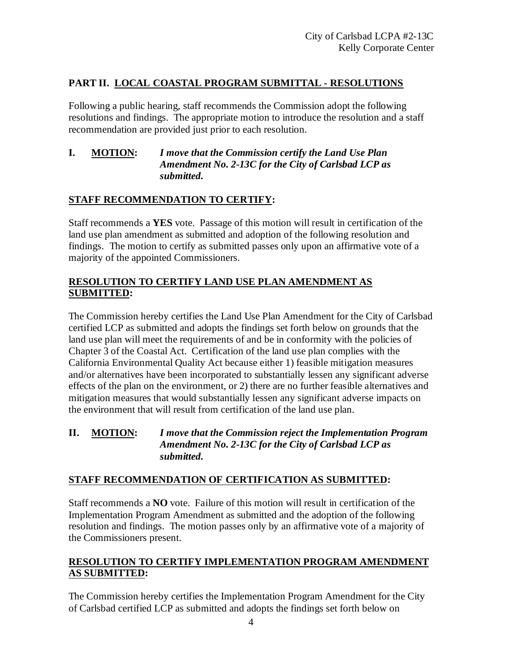#### **PART II. LOCAL COASTAL PROGRAM SUBMITTAL - RESOLUTIONS**

Following a public hearing, staff recommends the Commission adopt the following resolutions and findings. The appropriate motion to introduce the resolution and a staff recommendation are provided just prior to each resolution.

#### **I. MOTION:** *I move that the Commission certify the Land Use Plan Amendment No. 2-13C for the City of Carlsbad LCP as submitted.*

#### **STAFF RECOMMENDATION TO CERTIFY:**

Staff recommends a **YES** vote. Passage of this motion will result in certification of the land use plan amendment as submitted and adoption of the following resolution and findings. The motion to certify as submitted passes only upon an affirmative vote of a majority of the appointed Commissioners.

#### **RESOLUTION TO CERTIFY LAND USE PLAN AMENDMENT AS SUBMITTED:**

The Commission hereby certifies the Land Use Plan Amendment for the City of Carlsbad certified LCP as submitted and adopts the findings set forth below on grounds that the land use plan will meet the requirements of and be in conformity with the policies of Chapter 3 of the Coastal Act. Certification of the land use plan complies with the California Environmental Quality Act because either 1) feasible mitigation measures and/or alternatives have been incorporated to substantially lessen any significant adverse effects of the plan on the environment, or 2) there are no further feasible alternatives and mitigation measures that would substantially lessen any significant adverse impacts on the environment that will result from certification of the land use plan.

#### **II. MOTION:** *I move that the Commission reject the Implementation Program Amendment No. 2-13C for the City of Carlsbad LCP as submitted.*

#### **STAFF RECOMMENDATION OF CERTIFICATION AS SUBMITTED:**

Staff recommends a **NO** vote. Failure of this motion will result in certification of the Implementation Program Amendment as submitted and the adoption of the following resolution and findings. The motion passes only by an affirmative vote of a majority of the Commissioners present.

#### **RESOLUTION TO CERTIFY IMPLEMENTATION PROGRAM AMENDMENT AS SUBMITTED:**

The Commission hereby certifies the Implementation Program Amendment for the City of Carlsbad certified LCP as submitted and adopts the findings set forth below on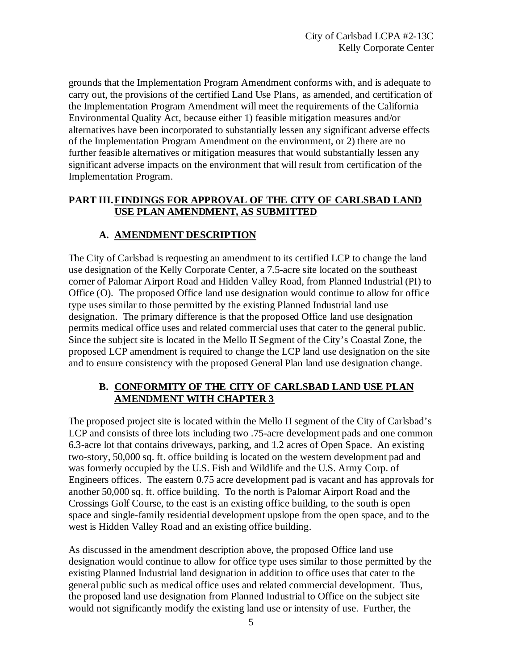grounds that the Implementation Program Amendment conforms with, and is adequate to carry out, the provisions of the certified Land Use Plans, as amended, and certification of the Implementation Program Amendment will meet the requirements of the California Environmental Quality Act, because either 1) feasible mitigation measures and/or alternatives have been incorporated to substantially lessen any significant adverse effects of the Implementation Program Amendment on the environment, or 2) there are no further feasible alternatives or mitigation measures that would substantially lessen any significant adverse impacts on the environment that will result from certification of the Implementation Program.

#### **PART III.FINDINGS FOR APPROVAL OF THE CITY OF CARLSBAD LAND USE PLAN AMENDMENT, AS SUBMITTED**

## **A. AMENDMENT DESCRIPTION**

The City of Carlsbad is requesting an amendment to its certified LCP to change the land use designation of the Kelly Corporate Center, a 7.5-acre site located on the southeast corner of Palomar Airport Road and Hidden Valley Road, from Planned Industrial (PI) to Office (O). The proposed Office land use designation would continue to allow for office type uses similar to those permitted by the existing Planned Industrial land use designation. The primary difference is that the proposed Office land use designation permits medical office uses and related commercial uses that cater to the general public. Since the subject site is located in the Mello II Segment of the City's Coastal Zone, the proposed LCP amendment is required to change the LCP land use designation on the site and to ensure consistency with the proposed General Plan land use designation change.

#### **B. CONFORMITY OF THE CITY OF CARLSBAD LAND USE PLAN AMENDMENT WITH CHAPTER 3**

The proposed project site is located within the Mello II segment of the City of Carlsbad's LCP and consists of three lots including two .75-acre development pads and one common 6.3-acre lot that contains driveways, parking, and 1.2 acres of Open Space. An existing two-story, 50,000 sq. ft. office building is located on the western development pad and was formerly occupied by the U.S. Fish and Wildlife and the U.S. Army Corp. of Engineers offices. The eastern 0.75 acre development pad is vacant and has approvals for another 50,000 sq. ft. office building. To the north is Palomar Airport Road and the Crossings Golf Course, to the east is an existing office building, to the south is open space and single-family residential development upslope from the open space, and to the west is Hidden Valley Road and an existing office building.

As discussed in the amendment description above, the proposed Office land use designation would continue to allow for office type uses similar to those permitted by the existing Planned Industrial land designation in addition to office uses that cater to the general public such as medical office uses and related commercial development. Thus, the proposed land use designation from Planned Industrial to Office on the subject site would not significantly modify the existing land use or intensity of use. Further, the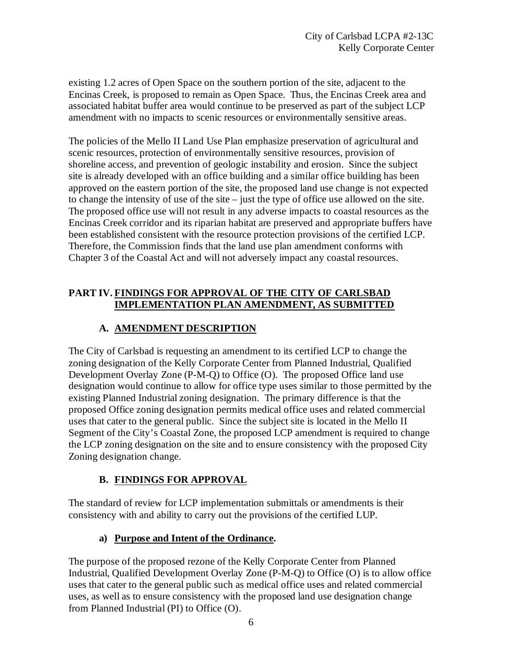existing 1.2 acres of Open Space on the southern portion of the site, adjacent to the Encinas Creek, is proposed to remain as Open Space. Thus, the Encinas Creek area and associated habitat buffer area would continue to be preserved as part of the subject LCP amendment with no impacts to scenic resources or environmentally sensitive areas.

The policies of the Mello II Land Use Plan emphasize preservation of agricultural and scenic resources, protection of environmentally sensitive resources, provision of shoreline access, and prevention of geologic instability and erosion. Since the subject site is already developed with an office building and a similar office building has been approved on the eastern portion of the site, the proposed land use change is not expected to change the intensity of use of the site – just the type of office use allowed on the site. The proposed office use will not result in any adverse impacts to coastal resources as the Encinas Creek corridor and its riparian habitat are preserved and appropriate buffers have been established consistent with the resource protection provisions of the certified LCP. Therefore, the Commission finds that the land use plan amendment conforms with Chapter 3 of the Coastal Act and will not adversely impact any coastal resources.

#### **PART IV. FINDINGS FOR APPROVAL OF THE CITY OF CARLSBAD IMPLEMENTATION PLAN AMENDMENT, AS SUBMITTED**

## **A. AMENDMENT DESCRIPTION**

The City of Carlsbad is requesting an amendment to its certified LCP to change the zoning designation of the Kelly Corporate Center from Planned Industrial, Qualified Development Overlay Zone (P-M-Q) to Office (O). The proposed Office land use designation would continue to allow for office type uses similar to those permitted by the existing Planned Industrial zoning designation. The primary difference is that the proposed Office zoning designation permits medical office uses and related commercial uses that cater to the general public. Since the subject site is located in the Mello II Segment of the City's Coastal Zone, the proposed LCP amendment is required to change the LCP zoning designation on the site and to ensure consistency with the proposed City Zoning designation change.

## **B. FINDINGS FOR APPROVAL**

The standard of review for LCP implementation submittals or amendments is their consistency with and ability to carry out the provisions of the certified LUP.

#### **a) Purpose and Intent of the Ordinance.**

The purpose of the proposed rezone of the Kelly Corporate Center from Planned Industrial, Qualified Development Overlay Zone (P-M-Q) to Office (O) is to allow office uses that cater to the general public such as medical office uses and related commercial uses, as well as to ensure consistency with the proposed land use designation change from Planned Industrial (PI) to Office (O).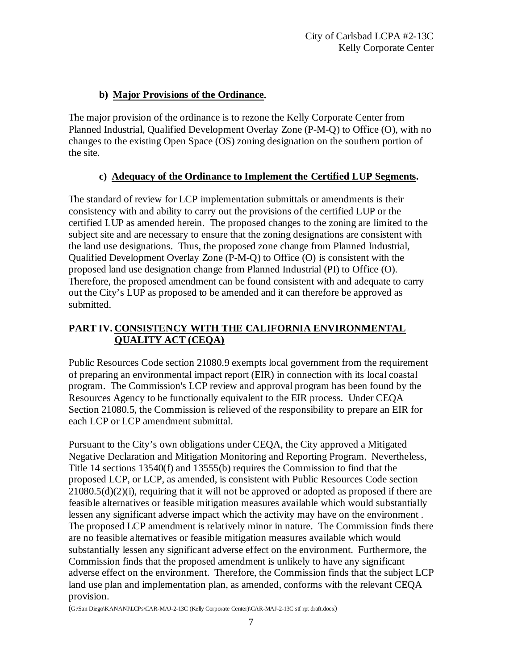## **b) Major Provisions of the Ordinance.**

The major provision of the ordinance is to rezone the Kelly Corporate Center from Planned Industrial, Qualified Development Overlay Zone (P-M-Q) to Office (O), with no changes to the existing Open Space (OS) zoning designation on the southern portion of the site.

## **c) Adequacy of the Ordinance to Implement the Certified LUP Segments.**

The standard of review for LCP implementation submittals or amendments is their consistency with and ability to carry out the provisions of the certified LUP or the certified LUP as amended herein. The proposed changes to the zoning are limited to the subject site and are necessary to ensure that the zoning designations are consistent with the land use designations. Thus, the proposed zone change from Planned Industrial, Qualified Development Overlay Zone (P-M-Q) to Office (O) is consistent with the proposed land use designation change from Planned Industrial (PI) to Office (O). Therefore, the proposed amendment can be found consistent with and adequate to carry out the City's LUP as proposed to be amended and it can therefore be approved as submitted.

#### **PART IV. CONSISTENCY WITH THE CALIFORNIA ENVIRONMENTAL QUALITY ACT (CEQA)**

Public Resources Code section 21080.9 exempts local government from the requirement of preparing an environmental impact report (EIR) in connection with its local coastal program. The Commission's LCP review and approval program has been found by the Resources Agency to be functionally equivalent to the EIR process. Under CEQA Section 21080.5, the Commission is relieved of the responsibility to prepare an EIR for each LCP or LCP amendment submittal.

Pursuant to the City's own obligations under CEQA, the City approved a Mitigated Negative Declaration and Mitigation Monitoring and Reporting Program. Nevertheless, Title 14 sections 13540(f) and 13555(b) requires the Commission to find that the proposed LCP, or LCP, as amended, is consistent with Public Resources Code section  $21080.5(d)(2)(i)$ , requiring that it will not be approved or adopted as proposed if there are feasible alternatives or feasible mitigation measures available which would substantially lessen any significant adverse impact which the activity may have on the environment . The proposed LCP amendment is relatively minor in nature. The Commission finds there are no feasible alternatives or feasible mitigation measures available which would substantially lessen any significant adverse effect on the environment. Furthermore, the Commission finds that the proposed amendment is unlikely to have any significant adverse effect on the environment. Therefore, the Commission finds that the subject LCP land use plan and implementation plan, as amended, conforms with the relevant CEQA provision.

(G:\San Diego\KANANI\LCPs\CAR-MAJ-2-13C (Kelly Corporate Center)\CAR-MAJ-2-13C stf rpt draft.docx)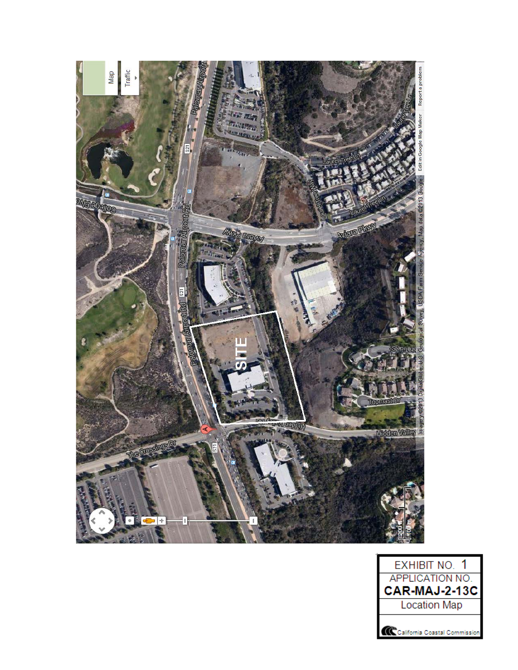

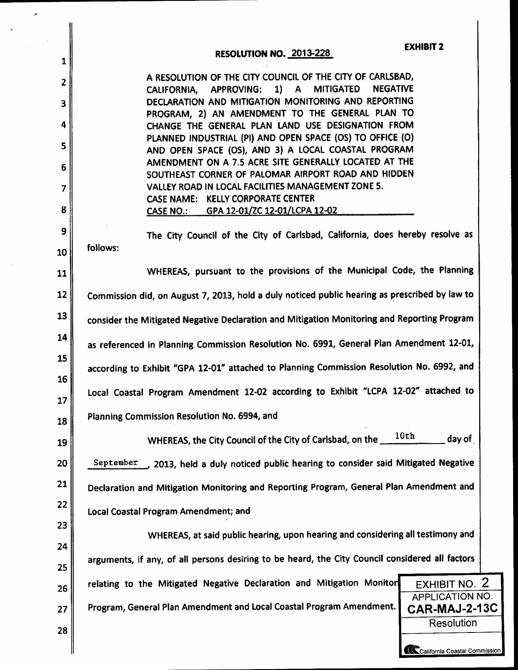| 1              | <b>RESOLUTION NO. 2013-228</b>                                                                                                 | <b>EXHIBIT 2</b>                               |
|----------------|--------------------------------------------------------------------------------------------------------------------------------|------------------------------------------------|
| $\overline{2}$ | A RESOLUTION OF THE CITY COUNCIL OF THE CITY OF CARLSBAD,                                                                      |                                                |
| 3              | $1)$ A<br><b>MITIGATED</b><br><b>NEGATIVE</b><br>CALIFORNIA, APPROVING:<br>DECLARATION AND MITIGATION MONITORING AND REPORTING |                                                |
|                | PROGRAM, 2) AN AMENDMENT TO THE GENERAL PLAN TO                                                                                |                                                |
| 4              | CHANGE THE GENERAL PLAN LAND USE DESIGNATION FROM<br>PLANNED INDUSTRIAL (PI) AND OPEN SPACE (OS) TO OFFICE (O)                 |                                                |
| 5              | AND OPEN SPACE (OS), AND 3) A LOCAL COASTAL PROGRAM<br>AMENDMENT ON A 7.5 ACRE SITE GENERALLY LOCATED AT THE                   |                                                |
| 6              | SOUTHEAST CORNER OF PALOMAR AIRPORT ROAD AND HIDDEN                                                                            |                                                |
| $\overline{7}$ | VALLEY ROAD IN LOCAL FACILITIES MANAGEMENT ZONE 5.<br>CASE NAME: KELLY CORPORATE CENTER                                        |                                                |
| 8              | CASE NO.: GPA 12-01/ZC 12-01/LCPA 12-02                                                                                        |                                                |
| 9              | The City Council of the City of Carlsbad, California, does hereby resolve as                                                   |                                                |
| 10             | follows:                                                                                                                       |                                                |
| 11             | WHEREAS, pursuant to the provisions of the Municipal Code, the Planning                                                        |                                                |
| 12             | Commission did, on August 7, 2013, hold a duly noticed public hearing as prescribed by law to                                  |                                                |
| 13             | consider the Mitigated Negative Declaration and Mitigation Monitoring and Reporting Program                                    |                                                |
| 14             | as referenced in Planning Commission Resolution No. 6991, General Plan Amendment 12-01,                                        |                                                |
| 15             | according to Exhibit "GPA 12-01" attached to Planning Commission Resolution No. 6992, and                                      |                                                |
| 16<br>17       | Local Coastal Program Amendment 12-02 according to Exhibit "LCPA 12-02" attached to                                            |                                                |
| 18             | Planning Commission Resolution No. 6994, and                                                                                   |                                                |
| 19             | WHEREAS, the City Council of the City of Carlsbad, on the ___                                                                  | 10th<br>day of                                 |
| 20             | September<br>2013, held a duly noticed public hearing to consider said Mitigated Negative                                      |                                                |
| 21             | Declaration and Mitigation Monitoring and Reporting Program, General Plan Amendment and                                        |                                                |
| 22             | Local Coastal Program Amendment; and                                                                                           |                                                |
| 23             | WHEREAS, at said public hearing, upon hearing and considering all testimony and                                                |                                                |
| 24             | arguments, if any, of all persons desiring to be heard, the City Council considered all factors                                |                                                |
| 25             |                                                                                                                                |                                                |
| 26             | relating to the Mitigated Negative Declaration and Mitigation Monitor                                                          | <b>EXHIBIT NO. 2</b><br><b>APPLICATION NO.</b> |
| 27             | Program, General Plan Amendment and Local Coastal Program Amendment.                                                           | CAR-MAJ-2-13C                                  |
| 28             |                                                                                                                                | Resolution                                     |
|                |                                                                                                                                | California Coastal Commission                  |

 $\ddot{\phantom{a}}$ 

 $\bar{z}$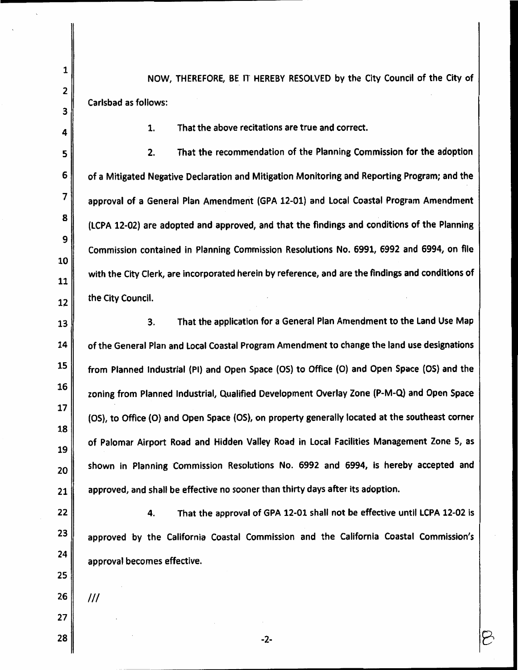NOW, THEREFORE, BE IT HEREBY RESOLVED by the City Council of the City of Carlsbad as follows:

> 1. That the above recitations are true and correct.

 $2.$ That the recommendation of the Planning Commission for the adoption 5 6 of a Mitigated Negative Declaration and Mitigation Monitoring and Reporting Program; and the  $\overline{7}$ approval of a General Plan Amendment (GPA 12-01) and Local Coastal Program Amendment 8 (LCPA 12-02) are adopted and approved, and that the findings and conditions of the Planning 9 Commission contained in Planning Commission Resolutions No. 6991, 6992 and 6994, on file 10 with the City Clerk, are incorporated herein by reference, and are the findings and conditions of 11 the City Council. 12

That the application for a General Plan Amendment to the Land Use Map 3. 13 14 of the General Plan and Local Coastal Program Amendment to change the land use designations 15 from Planned Industrial (PI) and Open Space (OS) to Office (O) and Open Space (OS) and the 16 zoning from Planned Industrial, Qualified Development Overlay Zone (P-M-Q) and Open Space 17 (OS), to Office (O) and Open Space (OS), on property generally located at the southeast corner 18 of Palomar Airport Road and Hidden Valley Road in Local Facilities Management Zone 5, as 19 shown in Planning Commission Resolutions No. 6992 and 6994, is hereby accepted and 20 approved, and shall be effective no sooner than thirty days after its adoption. 21

22 4. That the approval of GPA 12-01 shall not be effective until LCPA 12-02 is 23 approved by the California Coastal Commission and the California Coastal Commission's 24 approval becomes effective.

 $-2-$ 

26

 $III$ 

25

 $\mathbf 1$ 

2

3

4

27 28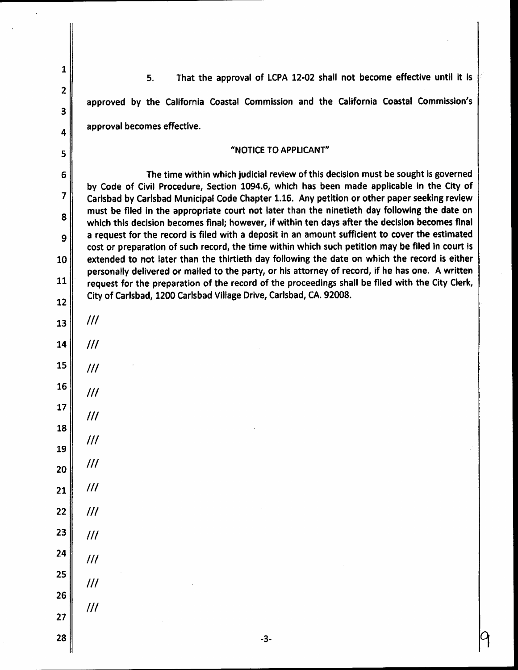| $\mathbf{1}$   | That the approval of LCPA 12-02 shall not become effective until it is<br>5.                                                                                                                                                                                                                        |  |
|----------------|-----------------------------------------------------------------------------------------------------------------------------------------------------------------------------------------------------------------------------------------------------------------------------------------------------|--|
| $\overline{2}$ |                                                                                                                                                                                                                                                                                                     |  |
| 3              | approved by the California Coastal Commission and the California Coastal Commission's                                                                                                                                                                                                               |  |
| 4              | approval becomes effective.                                                                                                                                                                                                                                                                         |  |
| 5              | "NOTICE TO APPLICANT"                                                                                                                                                                                                                                                                               |  |
| 6              | The time within which judicial review of this decision must be sought is governed                                                                                                                                                                                                                   |  |
| $\overline{7}$ | by Code of Civil Procedure, Section 1094.6, which has been made applicable in the City of<br>Carlsbad by Carlsbad Municipal Code Chapter 1.16. Any petition or other paper seeking review                                                                                                           |  |
| 8<br>9         | must be filed in the appropriate court not later than the ninetieth day following the date on<br>which this decision becomes final; however, if within ten days after the decision becomes final<br>a request for the record is filed with a deposit in an amount sufficient to cover the estimated |  |
| 10             | cost or preparation of such record, the time within which such petition may be filed in court is<br>extended to not later than the thirtieth day following the date on which the record is either                                                                                                   |  |
| 11             | personally delivered or mailed to the party, or his attorney of record, if he has one. A written<br>request for the preparation of the record of the proceedings shall be filed with the City Clerk,                                                                                                |  |
| 12             | City of Carlsbad, 1200 Carlsbad Village Drive, Carlsbad, CA. 92008.                                                                                                                                                                                                                                 |  |
| 13             | III                                                                                                                                                                                                                                                                                                 |  |
| 14             | III                                                                                                                                                                                                                                                                                                 |  |
| 15             | III                                                                                                                                                                                                                                                                                                 |  |
| 16             | ///                                                                                                                                                                                                                                                                                                 |  |
| 17             | III                                                                                                                                                                                                                                                                                                 |  |
| 18             | III                                                                                                                                                                                                                                                                                                 |  |
| 19             | III                                                                                                                                                                                                                                                                                                 |  |
| 20             |                                                                                                                                                                                                                                                                                                     |  |
| 21             | III                                                                                                                                                                                                                                                                                                 |  |
| 22             | III                                                                                                                                                                                                                                                                                                 |  |
| 23             | III                                                                                                                                                                                                                                                                                                 |  |
| 24             | III                                                                                                                                                                                                                                                                                                 |  |
| 25             | III                                                                                                                                                                                                                                                                                                 |  |
| 26             | III                                                                                                                                                                                                                                                                                                 |  |
| 27             |                                                                                                                                                                                                                                                                                                     |  |
| 28             | $-3-$                                                                                                                                                                                                                                                                                               |  |

 $\ddot{\phantom{0}}$ 

 $\ddot{\phantom{1}}$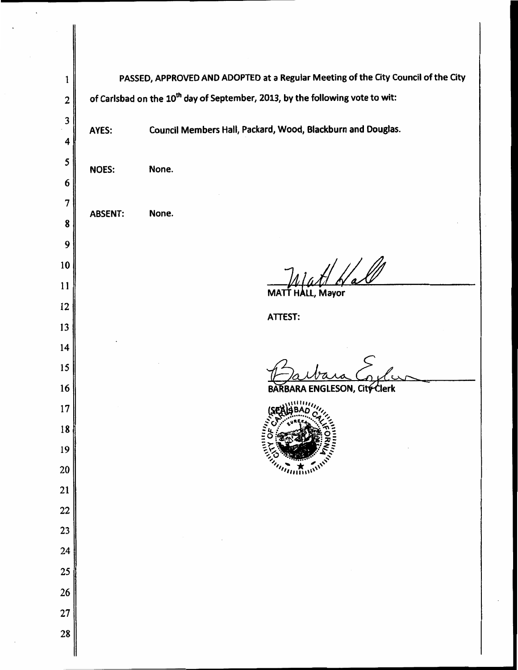PASSED, APPROVED AND ADOPTED at a Regular Meeting of the City Council of the City  $\mathbf{1}$ of Carlsbad on the 10<sup>th</sup> day of September, 2013, by the following vote to wit:  $\overline{2}$  $\overline{\mathbf{3}}$ Council Members Hall, Packard, Wood, Blackburn and Douglas. AYES:  $\overline{\mathbf{4}}$ 5 **NOES:** None. 6  $\overline{7}$ **ABSENT:** None. 8 9 fatt Hall  $10$ 11 MATT HALL, Mayor 12 ATTEST: 13 14 15 **ŔBARA ENGLESON, Cit<del>ý C</del>lerk** 16  $17$ 18 19 20 21 22 23 24 25 26 27 28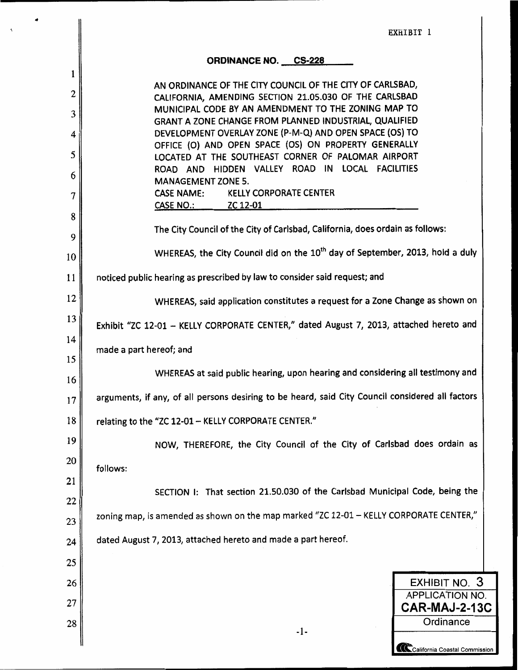|          | EXHIBIT 1                                                                                                           |
|----------|---------------------------------------------------------------------------------------------------------------------|
|          | <b>ORDINANCE NO. CS-228</b>                                                                                         |
| 1<br>2   | AN ORDINANCE OF THE CITY COUNCIL OF THE CITY OF CARLSBAD,<br>CALIFORNIA, AMENDING SECTION 21.05.030 OF THE CARLSBAD |
| 3        | MUNICIPAL CODE BY AN AMENDMENT TO THE ZONING MAP TO                                                                 |
|          | GRANT A ZONE CHANGE FROM PLANNED INDUSTRIAL, QUALIFIED                                                              |
| 4        | DEVELOPMENT OVERLAY ZONE (P-M-Q) AND OPEN SPACE (OS) TO<br>OFFICE (O) AND OPEN SPACE (OS) ON PROPERTY GENERALLY     |
| 5        | LOCATED AT THE SOUTHEAST CORNER OF PALOMAR AIRPORT<br>ROAD AND HIDDEN VALLEY ROAD IN LOCAL FACILITIES               |
| 6        | <b>MANAGEMENT ZONE 5.</b>                                                                                           |
| 7        | CASE NAME: KELLY CORPORATE CENTER<br>CASE NO.: <b>ZC 12-01</b>                                                      |
| 8        |                                                                                                                     |
| 9        | The City Council of the City of Carlsbad, California, does ordain as follows:                                       |
| 10       | WHEREAS, the City Council did on the 10 <sup>th</sup> day of September, 2013, hold a duly                           |
| 11       | noticed public hearing as prescribed by law to consider said request; and                                           |
| 12       | WHEREAS, said application constitutes a request for a Zone Change as shown on                                       |
| 13       | Exhibit "ZC 12-01 - KELLY CORPORATE CENTER," dated August 7, 2013, attached hereto and                              |
| 14<br>15 | made a part hereof; and                                                                                             |
| 16       | WHEREAS at said public hearing, upon hearing and considering all testimony and                                      |
| 17       | arguments, if any, of all persons desiring to be heard, said City Council considered all factors                    |
| 18       | relating to the "ZC 12-01 - KELLY CORPORATE CENTER."                                                                |
| 19       | NOW, THEREFORE, the City Council of the City of Carlsbad does ordain as                                             |
| 20       | follows:                                                                                                            |
| 21       |                                                                                                                     |
| 22       | SECTION I: That section 21.50.030 of the Carlsbad Municipal Code, being the                                         |
| 23       | zoning map, is amended as shown on the map marked "ZC 12-01 - KELLY CORPORATE CENTER,"                              |
| 24       | dated August 7, 2013, attached hereto and made a part hereof.                                                       |
| 25       |                                                                                                                     |
| 26       | EXHIBIT NO. 3                                                                                                       |
| 27       | APPLICATION NO.<br>CAR-MAJ-2-13C                                                                                    |
| 28       | Ordinance                                                                                                           |
|          | $-1-$<br>California Coastal Commission                                                                              |

 $\overline{\phantom{a}}$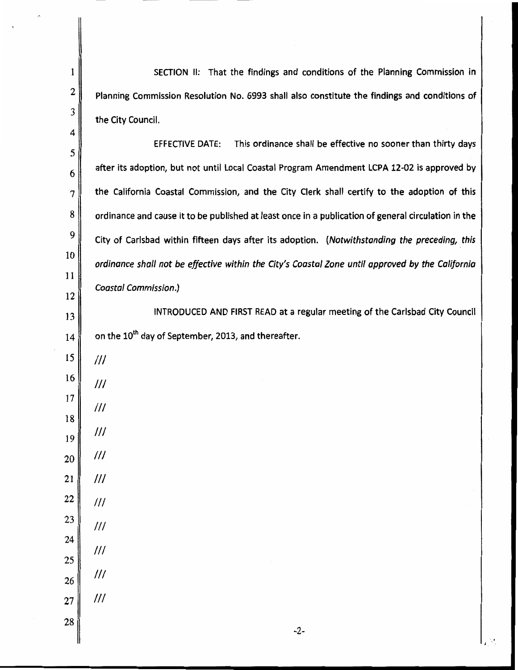SECTION II: That the findings and conditions of the Planning Commission in Planning Commission Resolution No. 6993 shall also constitute the findings and conditions of the City Council.

**EFFECTIVE DATE:** This ordinance shall be effective no sooner than thirty days after its adoption, but not until Local Coastal Program Amendment LCPA 12-02 is approved by the California Coastal Commission, and the City Clerk shall certify to the adoption of this ordinance and cause it to be published at least once in a publication of general circulation in the City of Carlsbad within fifteen days after its adoption. (Notwithstanding the preceding, this ordinance shall not be effective within the City's Coastal Zone until approved by the California **Coastal Commission.)** 

INTRODUCED AND FIRST READ at a regular meeting of the Carlsbad City Council on the 10<sup>th</sup> day of September, 2013, and thereafter.

 $\mathbf{1}$ 

 $\boldsymbol{2}$ 

3

4

5

6

 $\overline{7}$ 

8

9

10

11

12

13

14

 $III$ 

 $III$ 

 $III$ 

 $III$ 

 $III$ 

 $III$ 

- 22  $III$ 23  $III$
- 24  $III$ 25
- $III$ 26

 $^{\prime\prime\prime}$ 

27

 $-2-$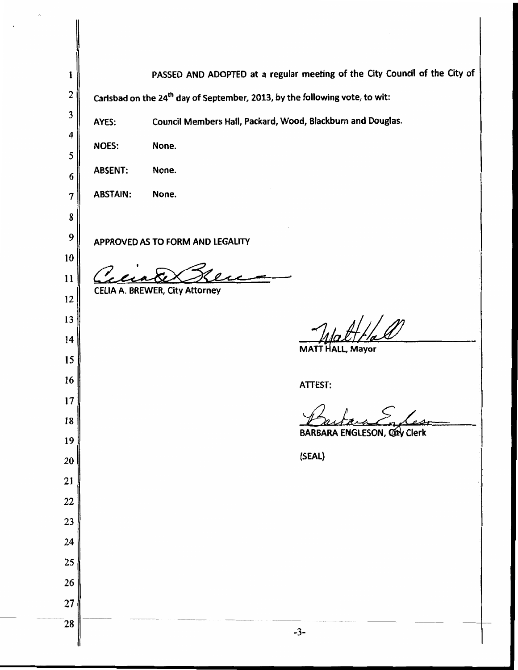| 1              |                                                                                         | PASSED AND ADOPTED at a regular meeting of the City Council of the City of |  |
|----------------|-----------------------------------------------------------------------------------------|----------------------------------------------------------------------------|--|
| $\mathbf{2}$   | Carlsbad on the 24 <sup>th</sup> day of September, 2013, by the following vote, to wit: |                                                                            |  |
| 3              | AYES:                                                                                   | Council Members Hail, Packard, Wood, Blackburn and Douglas.                |  |
| 4              | <b>NOES:</b>                                                                            | None.                                                                      |  |
| 5              |                                                                                         |                                                                            |  |
| 6              | <b>ABSENT:</b>                                                                          | None.                                                                      |  |
| $\overline{7}$ | <b>ABSTAIN:</b>                                                                         | None.                                                                      |  |
| 8              |                                                                                         |                                                                            |  |
| 9              |                                                                                         | APPROVED AS TO FORM AND LEGALITY                                           |  |
| 10             |                                                                                         |                                                                            |  |
| 11             |                                                                                         | CELIA A. BREWER, City Attorney                                             |  |
| 12             |                                                                                         |                                                                            |  |
| 13             |                                                                                         | الل براء                                                                   |  |
| 14             |                                                                                         | MATT HALL, Mayor                                                           |  |
| 15             |                                                                                         |                                                                            |  |
| 16             |                                                                                         | <b>ATTEST:</b>                                                             |  |
| 17             |                                                                                         |                                                                            |  |
| 18             |                                                                                         | BARBARA ENGLESON, City Clerk                                               |  |
| 19             |                                                                                         | (SEAL)                                                                     |  |
| $20\,$         |                                                                                         |                                                                            |  |
| $21$           |                                                                                         |                                                                            |  |
| 22             |                                                                                         |                                                                            |  |
| 23             |                                                                                         |                                                                            |  |
| 24<br>25       |                                                                                         |                                                                            |  |
| $26\,$         |                                                                                         |                                                                            |  |
| 27             |                                                                                         |                                                                            |  |
| 28             |                                                                                         |                                                                            |  |
|                |                                                                                         | $-3-$                                                                      |  |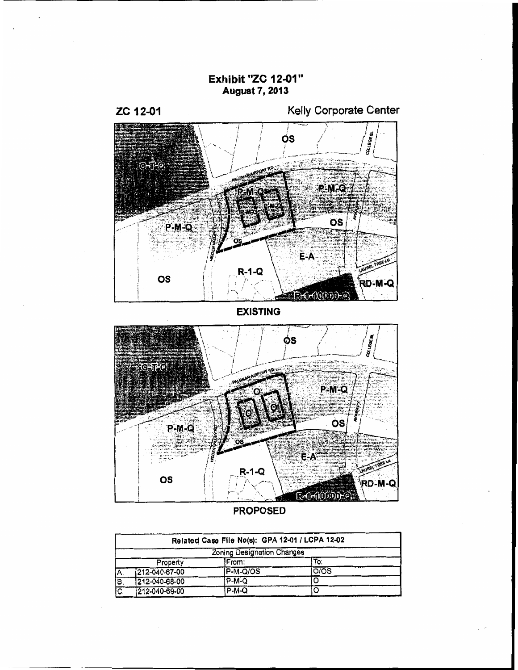**Exhibit "ZC 12-01" August 7, 2013** 



Kelly Corporate Center



**EXISTING** 



**PROPOSED** 

|     | Related Case File No(s): GPA 12-01 / LCPA 12-02 |           |                  |  |  |
|-----|-------------------------------------------------|-----------|------------------|--|--|
|     | Zoning Designation Changes                      |           |                  |  |  |
|     | Property                                        | IFrom:    | To:              |  |  |
| Α.  | 212-040-67-00                                   | IP-M-Q/OS | O <sub>/OS</sub> |  |  |
| ĪΒ. | 212-040-68-00                                   | $P-M-Q$   |                  |  |  |
| ত:  | 212-040-69-00                                   | P-M-Q     | C                |  |  |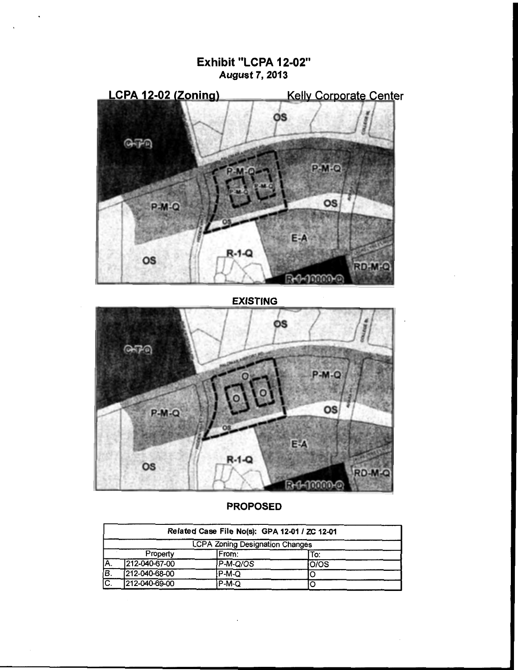# Exhibit "LCPA 12-02" **August 7, 2013**



**EXISTING** 



#### **PROPOSED**

|     |               | Related Case File No(s): GPA 12-01 / ZC 12-01 |       |  |
|-----|---------------|-----------------------------------------------|-------|--|
|     |               | <b>LCPA Zoning Designation Changes</b>        |       |  |
|     | Property      | IFrom:                                        | To:   |  |
| IA. | 212-040-67-00 | P-M-Q/OS                                      | lO/OS |  |
| B.  | 212-040-68-00 | P-M-Q                                         |       |  |
| IC. | 212-040-69-00 | P-M-Q                                         |       |  |